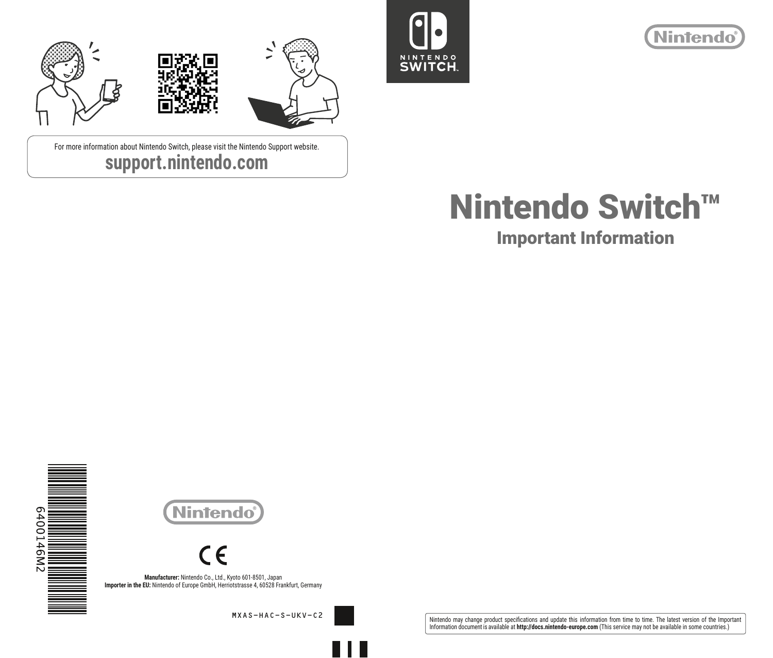





For more information about Nintendo Switch, please visit the Nintendo Support website. **support.nintendo.com**



Important Information



**Nintendo** 

**Manufacturer:** Nintendo Co., Ltd., Kyoto 601-8501, Japan **Importer in the EU:** Nintendo of Europe GmbH, Herriotstrasse 4, 60528 Frankfurt, Germany

MXAS-HAC-S-UKV-C2

Nintendo may change product specifications and update this information from time to time. The latest version of the Important<br>Information document is available at **http://docs.nintendo-europe.com** (This service may not be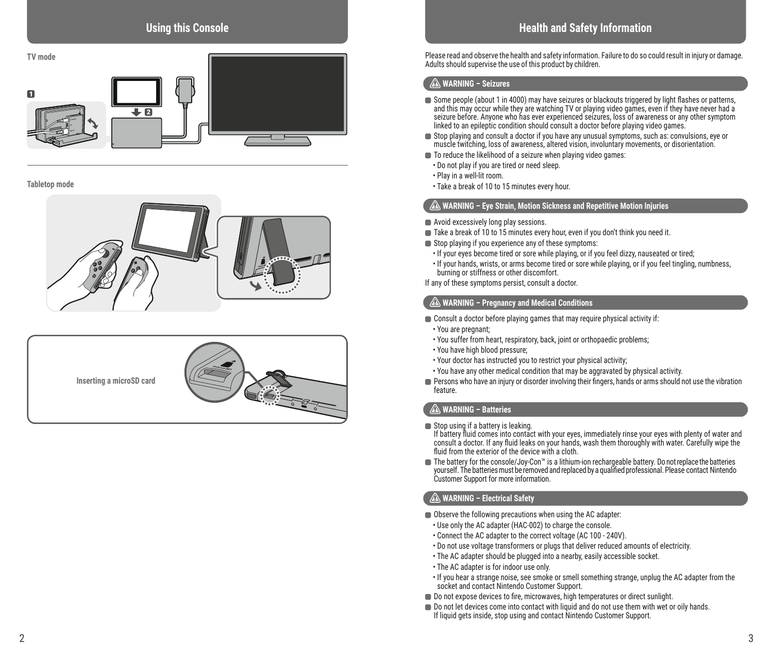

**Tabletop mode**





# **Health and Safety Information**

Please read and observe the health and safety information. Failure to do so could result in injury or damage. Adults should supervise the use of this product by children.

## **WARNING – Seizures**

- Some people (about 1 in 4000) may have seizures or blackouts triggered by light flashes or patterns, and this may occur while they are watching TV or playing video games, even if they have never had a seizure before. Anyone who has ever experienced seizures, loss of awareness or any other symptom linked to an epileptic condition should consult a doctor before playing video games.
- Stop playing and consult a doctor if you have any unusual symptoms, such as: convulsions, eye or muscle twitching, loss of awareness, altered vision, involuntary movements, or disorientation.
- To reduce the likelihood of a seizure when playing video games:
	- Do not play if you are tired or need sleep.
	- Play in a well-lit room.
- Take a break of 10 to 15 minutes every hour.

### **WARNING – Eye Strain, Motion Sickness and Repetitive Motion Injuries**

- Avoid excessively long play sessions.
- Take a break of 10 to 15 minutes every hour, even if you don't think you need it.
- Stop playing if you experience any of these symptoms:
- If your eyes become tired or sore while playing, or if you feel dizzy, nauseated or tired;
- If your hands, wrists, or arms become tired or sore while playing, or if you feel tingling, numbness, burning or stiffness or other discomfort.

If any of these symptoms persist, consult a doctor.

### **WARNING – Pregnancy and Medical Conditions**

- Consult a doctor before playing games that may require physical activity if:
- You are pregnant;
- You suffer from heart, respiratory, back, joint or orthopaedic problems;
- You have high blood pressure;
- Your doctor has instructed you to restrict your physical activity;
- You have any other medical condition that may be aggravated by physical activity.
- Persons who have an injury or disorder involving their fingers, hands or arms should not use the vibration feature.

## **WARNING – Batteries**

Stop using if a battery is leaking.

If battery fluid comes into contact with your eyes, immediately rinse your eyes with plenty of water and consult a doctor. If any fluid leaks on your hands, wash them thoroughly with water. Carefully wipe the fluid from the exterior of the device with a cloth.

■ The battery for the console/Joy-Con™ is a lithium-ion rechargeable battery. Do not replace the batteries yourself. The batteries must be removed and replaced by a qualified professional. Please contact Nintendo Customer Support for more information.

## **WARNING – Electrical Safety**

- Observe the following precautions when using the AC adapter:
- Use only the AC adapter (HAC-002) to charge the console.
- Connect the AC adapter to the correct voltage (AC 100 240V).
- Do not use voltage transformers or plugs that deliver reduced amounts of electricity.
- The AC adapter should be plugged into a nearby, easily accessible socket.
- The AC adapter is for indoor use only.
- If you hear a strange noise, see smoke or smell something strange, unplug the AC adapter from the socket and contact Nintendo Customer Support.
- $\Box$  Do not expose devices to fire, microwaves, high temperatures or direct sunlight.
- Do not let devices come into contact with liquid and do not use them with wet or oily hands. If liquid gets inside, stop using and contact Nintendo Customer Support.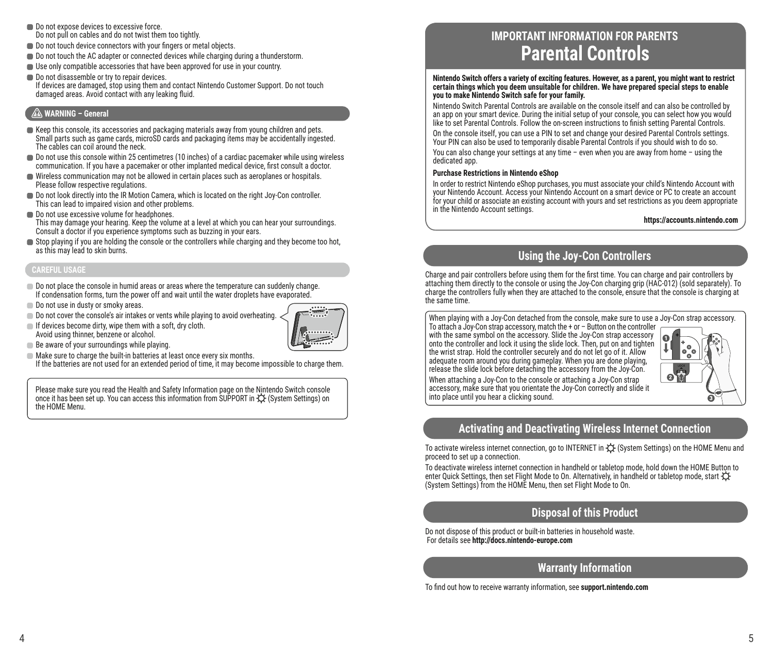- Do not expose devices to excessive force Do not pull on cables and do not twist them too tightly.
- Do not touch device connectors with your fingers or metal objects.
- Do not touch the AC adapter or connected devices while charging during a thunderstorm.
- Use only compatible accessories that have been approved for use in your country.
- Do not disassemble or try to repair devices. If devices are damaged, stop using them and contact Nintendo Customer Support. Do not touch damaged areas. Avoid contact with any leaking fluid.

### **WARNING – General**

- Keep this console, its accessories and packaging materials away from young children and pets. Small parts such as game cards, microSD cards and packaging items may be accidentally ingested. The cables can coil around the neck.
- Do not use this console within 25 centimetres (10 inches) of a cardiac pacemaker while using wireless communication. If you have a pacemaker or other implanted medical device, first consult a doctor.
- Wireless communication may not be allowed in certain places such as aeroplanes or hospitals. Please follow respective regulations.
- Do not look directly into the IR Motion Camera, which is located on the right Joy-Con controller. This can lead to impaired vision and other problems.
- Do not use excessive volume for headphones. This may damage your hearing. Keep the volume at a level at which you can hear your surroundings. Consult a doctor if you experience symptoms such as buzzing in your ears.
- Stop playing if you are holding the console or the controllers while charging and they become too hot, as this may lead to skin burns.

### **CAREFUL USAGE**

- $\Box$  Do not place the console in humid areas or areas where the temperature can suddenly change. If condensation forms, turn the power off and wait until the water droplets have evaporated.
- Do not use in dusty or smoky areas.
- Do not cover the console's air intakes or vents while playing to avoid overheating.
- $\blacksquare$  If devices become dirty, wipe them with a soft, dry cloth. Avoid using thinner, benzene or alcohol.



- **Be aware of your surroundings while playing.**
- $\blacksquare$  Make sure to charge the built-in batteries at least once every six months.
- If the batteries are not used for an extended period of time, it may become impossible to charge them.

Please make sure you read the Health and Safety Information page on the Nintendo Switch console once it has been set up. You can access this information from SUPPORT in  $\mathfrak O$  (System Settings) on the HOME Menu.

# **IMPORTANT INFORMATION FOR PARENTS Parental Controls**

**Nintendo Switch offers a variety of exciting features. However, as a parent, you might want to restrict certain things which you deem unsuitable for children. We have prepared special steps to enable you to make Nintendo Switch safe for your family.**

Nintendo Switch Parental Controls are available on the console itself and can also be controlled by an app on your smart device. During the initial setup of your console, you can select how you would like to set Parental Controls. Follow the on-screen instructions to finish setting Parental Controls.

On the console itself, you can use a PIN to set and change your desired Parental Controls settings. Your PIN can also be used to temporarily disable Parental Controls if you should wish to do so.

You can also change your settings at any time – even when you are away from home – using the dedicated app.

#### **Purchase Restrictions in Nintendo eShop**

In order to restrict Nintendo eShop purchases, you must associate your child's Nintendo Account with your Nintendo Account. Access your Nintendo Account on a smart device or PC to create an account for your child or associate an existing account with yours and set restrictions as you deem appropriate in the Nintendo Account settings.

**https://accounts.nintendo.com**

# **Using the Joy-Con Controllers**

Charge and pair controllers before using them for the first time. You can charge and pair controllers by attaching them directly to the console or using the Joy-Con charging grip (HAC-012) (sold separately). To charge the controllers fully when they are attached to the console, ensure that the console is charging at the same time.

When playing with a Joy-Con detached from the console, make sure to use a Joy-Con strap accessory.

To attach a Joy-Con strap accessory, match the + or – Button on the controller with the same symbol on the accessory. Slide the Joy-Con strap accessory onto the controller and lock it using the slide lock. Then, put on and tighten the wrist strap. Hold the controller securely and do not let go of it. Allow adequate room around you during gameplay. When you are done playing, release the slide lock before detaching the accessory from the Joy-Con. When attaching a Joy-Con to the console or attaching a Joy-Con strap accessory, make sure that you orientate the Joy-Con correctly and slide it into place until you hear a clicking sound.



# **Activating and Deactivating Wireless Internet Connection**

To activate wireless internet connection, go to INTERNET in  $\circledX$  (System Settings) on the HOME Menu and proceed to set up a connection.

To deactivate wireless internet connection in handheld or tabletop mode, hold down the HOME Button to enter Quick Settings, then set Flight Mode to On. Alternatively, in handheld or tabletop mode, start  $\ddot{\text{C}}$ (System Settings) from the HOME Menu, then set Flight Mode to On.

## **Disposal of this Product**

Do not dispose of this product or built-in batteries in household waste. For details see **http://docs.nintendo-europe.com**

# **Warranty Information**

To find out how to receive warranty information, see **support.nintendo.com**